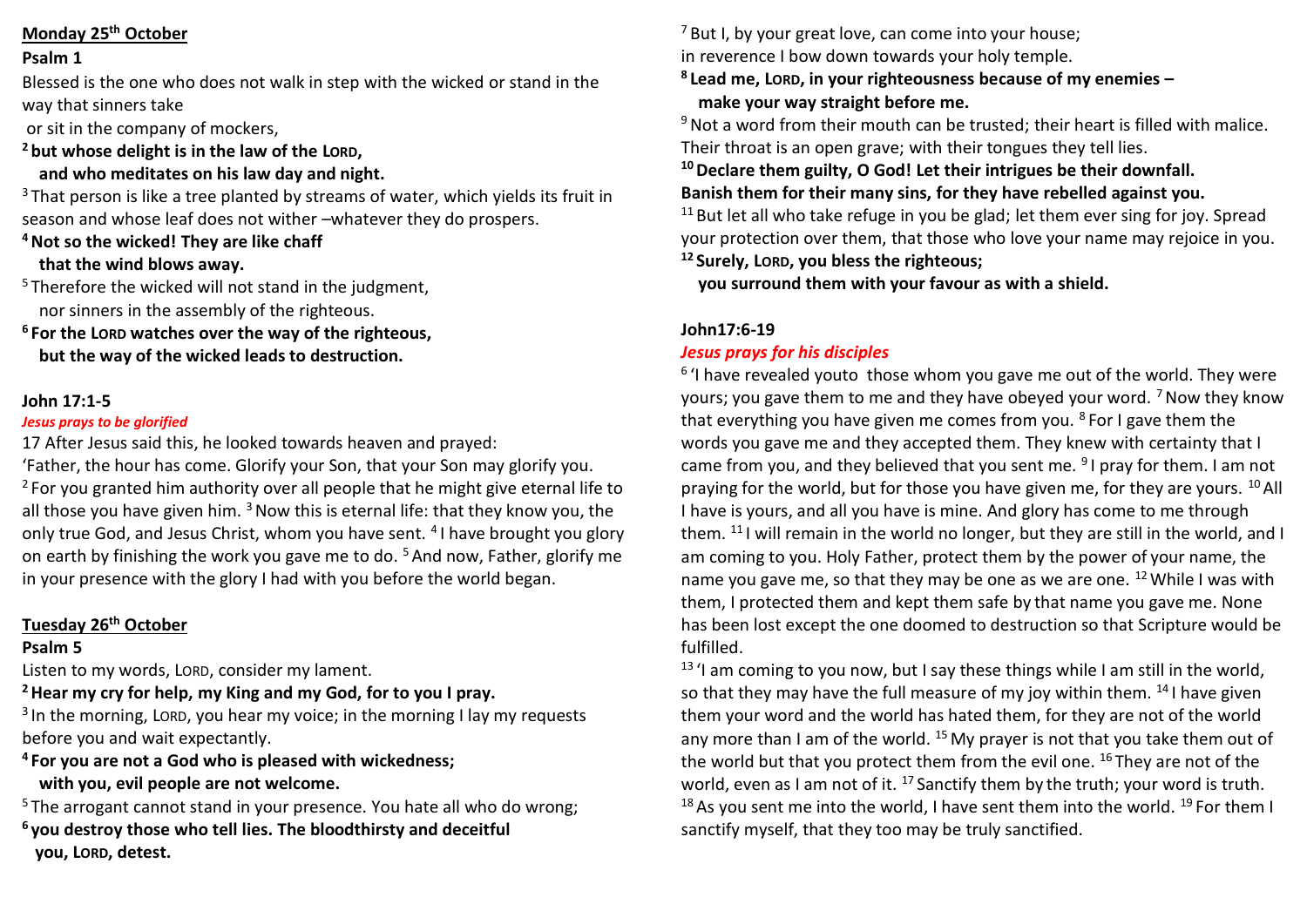### **Monday 25th October**

#### **Psalm 1**

Blessed is the one who does not walk in step with the wicked or stand in the way that sinners take

or sit in the company of mockers,

**<sup>2</sup> but whose delight is in the law of the LORD,**

 **and who meditates on his law day and night.**

 $3$  That person is like a tree planted by streams of water, which yields its fruit in season and whose leaf does not wither –whatever they do prospers.

**<sup>4</sup>Not so the wicked! They are like chaff**

## **that the wind blows away.**

<sup>5</sup> Therefore the wicked will not stand in the judgment, nor sinners in the assembly of the righteous.

**<sup>6</sup> For the LORD watches over the way of the righteous, but the way of the wicked leads to destruction.**

### **John 17:1-5**

### *Jesus prays to be glorified*

17 After Jesus said this, he looked towards heaven and prayed:

'Father, the hour has come. Glorify your Son, that your Son may glorify you.  $2$  For you granted him authority over all people that he might give eternal life to all those you have given him.  $3$  Now this is eternal life: that they know you, the only true God, and Jesus Christ, whom you have sent. <sup>4</sup>I have brought you glory on earth by finishing the work you gave me to do. <sup>5</sup> And now, Father, glorify me in your presence with the glory I had with you before the world began.

# **Tuesday 26th October**

# **Psalm 5**

Listen to my words, LORD, consider my lament.

**<sup>2</sup>Hear my cry for help, my King and my God, for to you I pray.**

<sup>3</sup> In the morning, LORD, you hear my voice; in the morning I lay my requests before you and wait expectantly.

**<sup>4</sup> For you are not a God who is pleased with wickedness; with you, evil people are not welcome.**

<sup>5</sup> The arrogant cannot stand in your presence. You hate all who do wrong;

**<sup>6</sup> you destroy those who tell lies. The bloodthirsty and deceitful you, LORD, detest.**

 $7$  But I, by your great love, can come into your house; in reverence I bow down towards your holy temple.

**8 Lead me, LORD, in your righteousness because of my enemies – make your way straight before me.**

 $9$  Not a word from their mouth can be trusted; their heart is filled with malice. Their throat is an open grave; with their tongues they tell lies.

**<sup>10</sup>Declare them guilty, O God! Let their intrigues be their downfall.**

**Banish them for their many sins, for they have rebelled against you.**

 $11$  But let all who take refuge in you be glad; let them ever sing for joy. Spread your protection over them, that those who love your name may rejoice in you. **<sup>12</sup> Surely, LORD, you bless the righteous;**

 **you surround them with your favour as with a shield.**

# **John17:6-19**

# *Jesus prays for his disciples*

<sup>6</sup> 'I have revealed youto those whom you gave me out of the world. They were yours; you gave them to me and they have obeyed your word.  $<sup>7</sup>$  Now they know</sup> that everything you have given me comes from you.  $8$  For I gave them the words you gave me and they accepted them. They knew with certainty that I came from you, and they believed that you sent me. <sup>9</sup>I pray for them. I am not praying for the world, but for those you have given me, for they are yours. <sup>10</sup> All I have is yours, and all you have is mine. And glory has come to me through them. <sup>11</sup> I will remain in the world no longer, but they are still in the world, and I am coming to you. Holy Father, protect them by the power of your name, the name you gave me, so that they may be one as we are one. <sup>12</sup> While I was with them, I protected them and kept them safe by that name you gave me. None has been lost except the one doomed to destruction so that Scripture would be fulfilled.

 $13$  'I am coming to you now, but I say these things while I am still in the world, so that they may have the full measure of my joy within them.  $^{14}$  I have given them your word and the world has hated them, for they are not of the world any more than I am of the world.  $^{15}$  My prayer is not that you take them out of the world but that you protect them from the evil one. <sup>16</sup> They are not of the world, even as I am not of it.  $^{17}$  Sanctify them by the truth; your word is truth. <sup>18</sup> As you sent me into the world, I have sent them into the world. <sup>19</sup> For them I sanctify myself, that they too may be truly sanctified.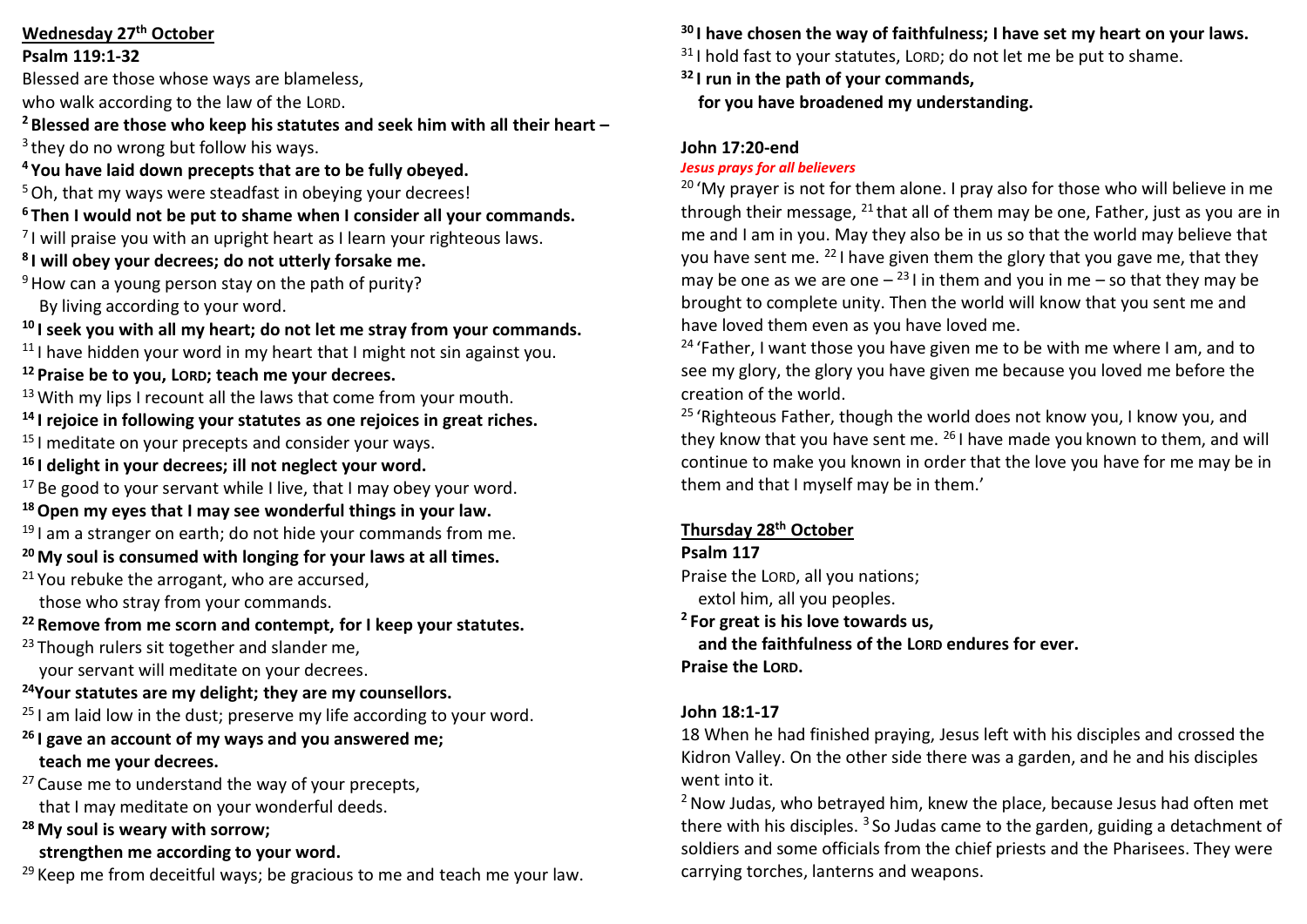### **Wednesday 27th October**

#### **Psalm 119:1-32**

Blessed are those whose ways are blameless,

who walk according to the law of the LORD.

**<sup>2</sup> Blessed are those who keep his statutes and seek him with all their heart –**

<sup>3</sup> they do no wrong but follow his ways.

**<sup>4</sup> You have laid down precepts that are to be fully obeyed.**

<sup>5</sup> Oh, that my ways were steadfast in obeying your decrees!

- **<sup>6</sup> Then I would not be put to shame when I consider all your commands.**
- $<sup>7</sup>$ I will praise you with an upright heart as I learn your righteous laws.</sup>
- **8 I will obey your decrees; do not utterly forsake me.**

 $9$  How can a young person stay on the path of purity?

By living according to your word.

**<sup>10</sup> I seek you with all my heart; do not let me stray from your commands.**

- <sup>11</sup> I have hidden your word in my heart that I might not sin against you.
- **<sup>12</sup> Praise be to you, LORD; teach me your decrees.**
- $13$  With my lips I recount all the laws that come from your mouth.
- **<sup>14</sup> I rejoice in following your statutes as one rejoices in great riches.**
- <sup>15</sup> I meditate on your precepts and consider your ways.
- **<sup>16</sup> I delight in your decrees; ill not neglect your word.**

 $17$  Be good to your servant while I live, that I may obey your word.

# **<sup>18</sup>Open my eyes that I may see wonderful things in your law.**

- $19$  I am a stranger on earth; do not hide your commands from me.
- **<sup>20</sup>My soul is consumed with longing for your laws at all times.**
- $21$  You rebuke the arrogant, who are accursed,

those who stray from your commands.

**<sup>22</sup> Remove from me scorn and contempt, for I keep your statutes.**

- <sup>23</sup> Though rulers sit together and slander me, your servant will meditate on your decrees.
- **<sup>24</sup>Your statutes are my delight; they are my counsellors.**
- $25$  I am laid low in the dust; preserve my life according to your word.
- **<sup>26</sup> I gave an account of my ways and you answered me; teach me your decrees.**
- $27$  Cause me to understand the way of your precepts, that I may meditate on your wonderful deeds.

**<sup>28</sup>My soul is weary with sorrow;**

# **strengthen me according to your word.**

 $29$  Keep me from deceitful ways; be gracious to me and teach me your law.

**<sup>30</sup> I have chosen the way of faithfulness; I have set my heart on your laws.**

 $31$  I hold fast to your statutes. LORD: do not let me be put to shame.

**<sup>32</sup> I run in the path of your commands, for you have broadened my understanding.**

# **John 17:20-end**

# *Jesus prays for all believers*

 $20$  'My prayer is not for them alone. I pray also for those who will believe in me through their message,  $^{21}$  that all of them may be one, Father, just as you are in me and I am in you. May they also be in us so that the world may believe that you have sent me. <sup>22</sup> I have given them the glory that you gave me, that they may be one as we are one  $-$  <sup>23</sup> I in them and you in me  $-$  so that they may be brought to complete unity. Then the world will know that you sent me and have loved them even as you have loved me.

<sup>24</sup> 'Father, I want those you have given me to be with me where I am, and to see my glory, the glory you have given me because you loved me before the creation of the world.

<sup>25</sup> 'Righteous Father, though the world does not know you, I know you, and they know that you have sent me. <sup>26</sup> I have made you known to them, and will continue to make you known in order that the love you have for me may be in them and that I myself may be in them.'

# **Thursday 28th October**

# **Psalm 117**

Praise the LORD, all you nations;

extol him, all you peoples.

**<sup>2</sup> For great is his love towards us,**

 **and the faithfulness of the LORD endures for ever. Praise the LORD.**

# **John 18:1-17**

18 When he had finished praying, Jesus left with his disciples and crossed the Kidron Valley. On the other side there was a garden, and he and his disciples went into it.

<sup>2</sup> Now Judas, who betrayed him, knew the place, because Jesus had often met there with his disciples.  $3$  So Judas came to the garden, guiding a detachment of soldiers and some officials from the chief priests and the Pharisees. They were carrying torches, lanterns and weapons.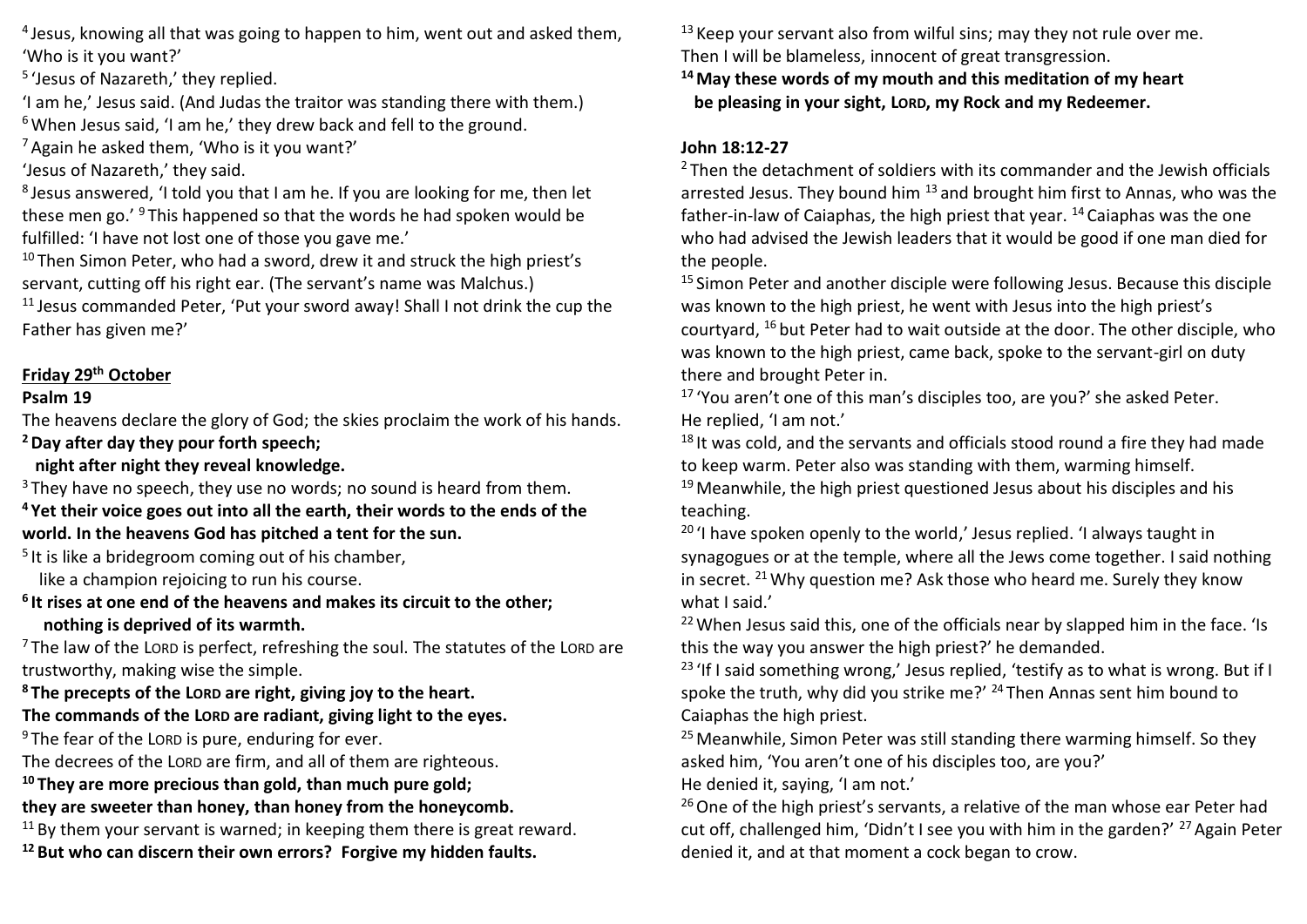4 Jesus, knowing all that was going to happen to him, went out and asked them, 'Who is it you want?'

5 'Jesus of Nazareth,' they replied.

'I am he,' Jesus said. (And Judas the traitor was standing there with them.)  $6$  When Jesus said. 'I am he,' they drew back and fell to the ground.

 $<sup>7</sup>$  Again he asked them, 'Who is it you want?'</sup>

'Jesus of Nazareth,' they said.

8 Jesus answered, 'I told you that I am he. If you are looking for me, then let these men go.' <sup>9</sup> This happened so that the words he had spoken would be fulfilled: 'I have not lost one of those you gave me.'

 $10$  Then Simon Peter, who had a sword, drew it and struck the high priest's servant, cutting off his right ear. (The servant's name was Malchus.)

<sup>11</sup> Jesus commanded Peter, 'Put your sword away! Shall I not drink the cup the Father has given me?'

## **Friday 29th October**

### **Psalm 19**

The heavens declare the glory of God; the skies proclaim the work of his hands. **<sup>2</sup>Day after day they pour forth speech;**

 **night after night they reveal knowledge.**

 $3$  They have no speech, they use no words; no sound is heard from them.

**<sup>4</sup> Yet their voice goes out into all the earth, their words to the ends of the world. In the heavens God has pitched a tent for the sun.**

<sup>5</sup> It is like a bridegroom coming out of his chamber,

like a champion rejoicing to run his course.

**6 It rises at one end of the heavens and makes its circuit to the other; nothing is deprived of its warmth.**

 $7$  The law of the LORD is perfect, refreshing the soul. The statutes of the LORD are trustworthy, making wise the simple.

**<sup>8</sup> The precepts of the LORD are right, giving joy to the heart.**

### **The commands of the LORD are radiant, giving light to the eyes.**

 $9$  The fear of the LORD is pure, enduring for ever.

The decrees of the LORD are firm, and all of them are righteous.

**<sup>10</sup> They are more precious than gold, than much pure gold;**

**they are sweeter than honey, than honey from the honeycomb.**

 $11$  By them your servant is warned; in keeping them there is great reward.

**<sup>12</sup> But who can discern their own errors? Forgive my hidden faults.**

 $13$  Keep your servant also from wilful sins; may they not rule over me. Then I will be blameless, innocent of great transgression.

**<sup>14</sup>May these words of my mouth and this meditation of my heart be pleasing in your sight, LORD, my Rock and my Redeemer.**

## **John 18:12-27**

 $2$  Then the detachment of soldiers with its commander and the Jewish officials arrested Jesus. They bound him <sup>13</sup> and brought him first to Annas, who was the father-in-law of Caiaphas, the high priest that year, <sup>14</sup> Caiaphas was the one who had advised the Jewish leaders that it would be good if one man died for the people.

<sup>15</sup> Simon Peter and another disciple were following Jesus. Because this disciple was known to the high priest, he went with Jesus into the high priest's courtyard, <sup>16</sup> but Peter had to wait outside at the door. The other disciple, who was known to the high priest, came back, spoke to the servant-girl on duty there and brought Peter in.

<sup>17</sup> 'You aren't one of this man's disciples too, are you?' she asked Peter. He replied, 'I am not.'

 $18$  It was cold, and the servants and officials stood round a fire they had made to keep warm. Peter also was standing with them, warming himself.

 $19$  Meanwhile, the high priest questioned Jesus about his disciples and his teaching.

 $20$  'I have spoken openly to the world,' Jesus replied. 'I always taught in synagogues or at the temple, where all the Jews come together. I said nothing in secret. <sup>21</sup>Why question me? Ask those who heard me. Surely they know what I said.'

<sup>22</sup> When Jesus said this, one of the officials near by slapped him in the face. 'Is this the way you answer the high priest?' he demanded.

<sup>23</sup> 'If I said something wrong,' Jesus replied, 'testify as to what is wrong. But if I spoke the truth, why did you strike me?'  $^{24}$  Then Annas sent him bound to Caiaphas the high priest.

 $25$  Meanwhile, Simon Peter was still standing there warming himself. So they asked him, 'You aren't one of his disciples too, are you?'

He denied it, saying, 'I am not.'

 $26$  One of the high priest's servants, a relative of the man whose ear Peter had cut off, challenged him, 'Didn't I see you with him in the garden?'  $^{27}$  Again Peter denied it, and at that moment a cock began to crow.